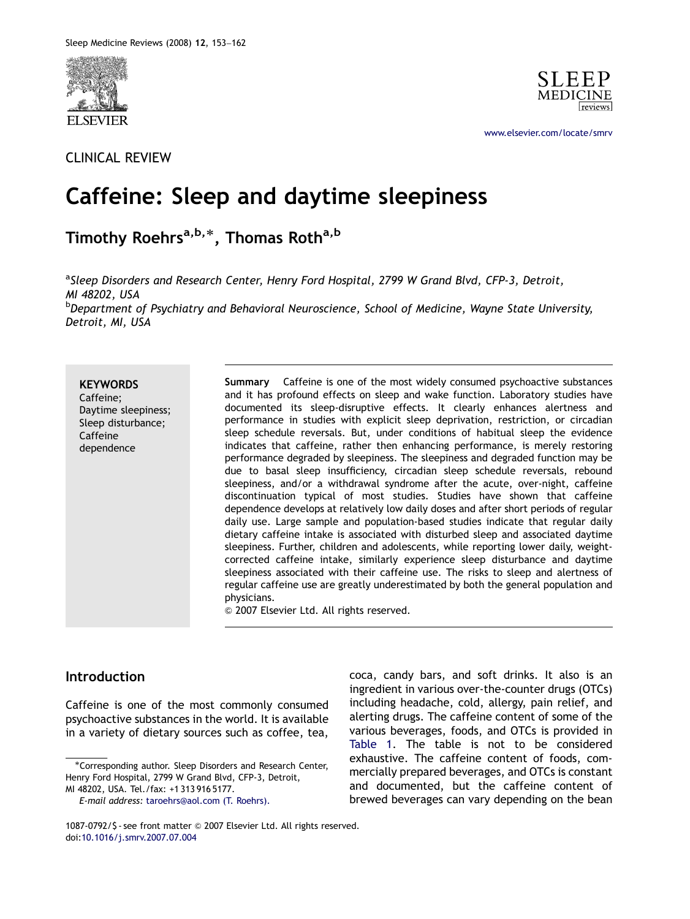

## CLINICAL REVIEW



<www.elsevier.com/locate/smrv>

# Caffeine: Sleep and daytime sleepiness

Timothy Roehrs<sup>a,b,\*</sup>, Thomas Roth<sup>a,b</sup>

<sup>a</sup>Sleep Disorders and Research Center, Henry Ford Hospital, 2799 W Grand Blvd, CFP-3, Detroit, MI 48202, USA <sup>b</sup>Department of Psychiatry and Behavioral Neuroscience, School of Medicine, Wayne State University,

Detroit, MI, USA

**KEYWORDS** Caffeine; Daytime sleepiness; Sleep disturbance; Caffeine dependence

Summary Caffeine is one of the most widely consumed psychoactive substances and it has profound effects on sleep and wake function. Laboratory studies have documented its sleep-disruptive effects. It clearly enhances alertness and performance in studies with explicit sleep deprivation, restriction, or circadian sleep schedule reversals. But, under conditions of habitual sleep the evidence indicates that caffeine, rather then enhancing performance, is merely restoring performance degraded by sleepiness. The sleepiness and degraded function may be due to basal sleep insufficiency, circadian sleep schedule reversals, rebound sleepiness, and/or a withdrawal syndrome after the acute, over-night, caffeine discontinuation typical of most studies. Studies have shown that caffeine dependence develops at relatively low daily doses and after short periods of regular daily use. Large sample and population-based studies indicate that regular daily dietary caffeine intake is associated with disturbed sleep and associated daytime sleepiness. Further, children and adolescents, while reporting lower daily, weightcorrected caffeine intake, similarly experience sleep disturbance and daytime sleepiness associated with their caffeine use. The risks to sleep and alertness of regular caffeine use are greatly underestimated by both the general population and physicians.

 $\odot$  2007 Elsevier Ltd. All rights reserved.

## **Introduction**

Caffeine is one of the most commonly consumed psychoactive substances in the world. It is available in a variety of dietary sources such as coffee, tea, coca, candy bars, and soft drinks. It also is an ingredient in various over-the-counter drugs (OTCs) including headache, cold, allergy, pain relief, and alerting drugs. The caffeine content of some of the various beverages, foods, and OTCs is provided in [Table 1.](#page-1-0) The table is not to be considered exhaustive. The caffeine content of foods, commercially prepared beverages, and OTCs is constant and documented, but the caffeine content of brewed beverages can vary depending on the bean

<sup>-</sup>Corresponding author. Sleep Disorders and Research Center, Henry Ford Hospital, 2799 W Grand Blvd, CFP-3, Detroit, MI 48202, USA. Tel./fax: +1 313 916 5177.

E-mail address: [taroehrs@aol.com \(T. Roehrs\).](mailto:taroehrs@aol.com)

<sup>1087-0792/\$ -</sup> see front matter © 2007 Elsevier Ltd. All rights reserved. doi[:10.1016/j.smrv.2007.07.004](dx.doi.org/10.1016/j.smrv.2007.07.004)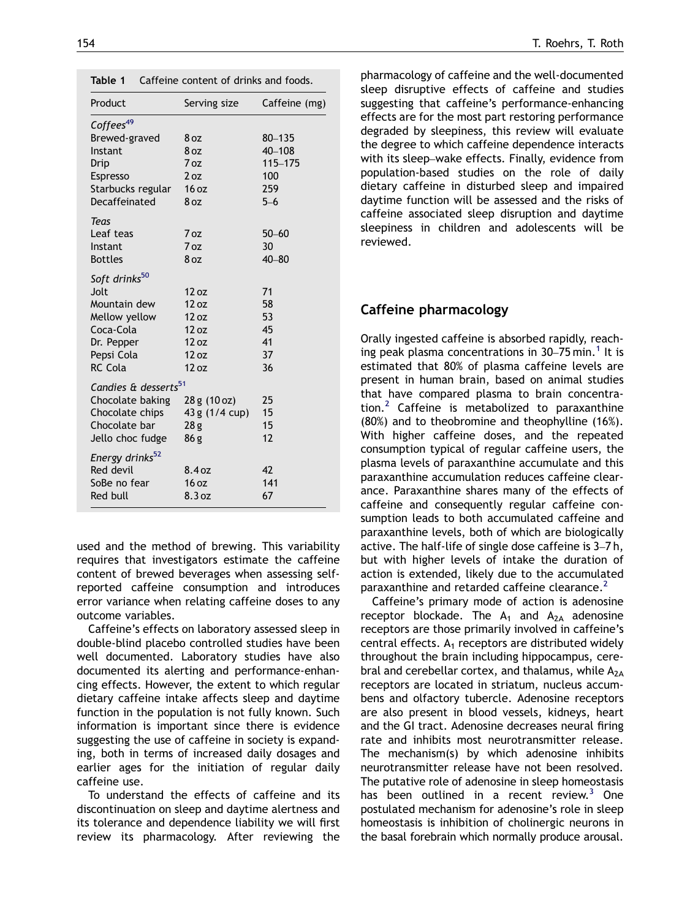<span id="page-1-0"></span>

| Table 1 |  |  |  | Caffeine content of drinks and foods. |  |
|---------|--|--|--|---------------------------------------|--|
|---------|--|--|--|---------------------------------------|--|

| Product                          | Serving size    | Caffeine (mg) |
|----------------------------------|-----------------|---------------|
| Coffees <sup>49</sup>            |                 |               |
| Brewed-graved                    | 8 oz            | $80 - 135$    |
| Instant                          | 8 oz            | 40-108        |
| Drip                             | 7 oz            | 115-175       |
| <b>Espresso</b>                  | 2 oz            | 100           |
| Starbucks regular                | 16 oz           | 259           |
| Decaffeinated                    | 8 oz            | $5 - 6$       |
| Teas                             |                 |               |
| Leaf teas                        | 7 oz            | $50 - 60$     |
| Instant                          | 7 oz            | 30            |
| <b>Bottles</b>                   | 8 <sub>oz</sub> | $40 - 80$     |
| Soft drinks <sup>50</sup>        |                 |               |
| Jolt.                            | 12 oz           | 71            |
| Mountain dew                     | 12 oz           | 58            |
| Mellow yellow                    | 12 oz           | 53            |
| Coca-Cola                        | 12 oz           | 45            |
| Dr. Pepper                       | 12 oz           | 41            |
| Pepsi Cola                       | 12 oz           | 37            |
| RC Cola                          | 12 oz           | 36            |
| Candies & desserts <sup>51</sup> |                 |               |
| Chocolate baking                 | 28 g (10 oz)    | 25            |
| Chocolate chips                  | 43 g (1/4 cup)  | 15            |
| Chocolate bar                    | 28g             | 15            |
| Jello choc fudge                 | 86g             | 12            |
| Energy drinks <sup>52</sup>      |                 |               |
| Red devil                        | 8.4oz           | 42            |
| SoBe no fear                     | 16 oz           | 141           |
| Red bull                         | 8.3 oz          | 67            |
|                                  |                 |               |

used and the method of brewing. This variability requires that investigators estimate the caffeine content of brewed beverages when assessing selfreported caffeine consumption and introduces error variance when relating caffeine doses to any outcome variables.

Caffeine's effects on laboratory assessed sleep in double-blind placebo controlled studies have been well documented. Laboratory studies have also documented its alerting and performance-enhancing effects. However, the extent to which regular dietary caffeine intake affects sleep and daytime function in the population is not fully known. Such information is important since there is evidence suggesting the use of caffeine in society is expanding, both in terms of increased daily dosages and earlier ages for the initiation of regular daily caffeine use.

To understand the effects of caffeine and its discontinuation on sleep and daytime alertness and its tolerance and dependence liability we will first review its pharmacology. After reviewing the pharmacology of caffeine and the well-documented sleep disruptive effects of caffeine and studies suggesting that caffeine's performance-enhancing effects are for the most part restoring performance degraded by sleepiness, this review will evaluate the degree to which caffeine dependence interacts with its sleep–wake effects. Finally, evidence from population-based studies on the role of daily dietary caffeine in disturbed sleep and impaired daytime function will be assessed and the risks of caffeine associated sleep disruption and daytime sleepiness in children and adolescents will be reviewed.

#### Caffeine pharmacology

Orally ingested caffeine is absorbed rapidly, reaching peak plasma concentrations in  $30-75$  min.<sup>[1](#page-8-0)</sup> It is estimated that 80% of plasma caffeine levels are present in human brain, based on animal studies that have compared plasma to brain concentra-tion.<sup>[2](#page-8-0)</sup> Caffeine is metabolized to paraxanthine (80%) and to theobromine and theophylline (16%). With higher caffeine doses, and the repeated consumption typical of regular caffeine users, the plasma levels of paraxanthine accumulate and this paraxanthine accumulation reduces caffeine clearance. Paraxanthine shares many of the effects of caffeine and consequently regular caffeine consumption leads to both accumulated caffeine and paraxanthine levels, both of which are biologically active. The half-life of single dose caffeine is 3–7 h, but with higher levels of intake the duration of action is extended, likely due to the accumulated paraxanthine and retarded caffeine clearance.<sup>[2](#page-8-0)</sup>

Caffeine's primary mode of action is adenosine receptor blockade. The  $A_1$  and  $A_{2A}$  adenosine receptors are those primarily involved in caffeine's central effects.  $A_1$  receptors are distributed widely throughout the brain including hippocampus, cerebral and cerebellar cortex, and thalamus, while  $A_{2A}$ receptors are located in striatum, nucleus accumbens and olfactory tubercle. Adenosine receptors are also present in blood vessels, kidneys, heart and the GI tract. Adenosine decreases neural firing rate and inhibits most neurotransmitter release. The mechanism(s) by which adenosine inhibits neurotransmitter release have not been resolved. The putative role of adenosine in sleep homeostasis has been outlined in a recent review. $3$  One postulated mechanism for adenosine's role in sleep homeostasis is inhibition of cholinergic neurons in the basal forebrain which normally produce arousal.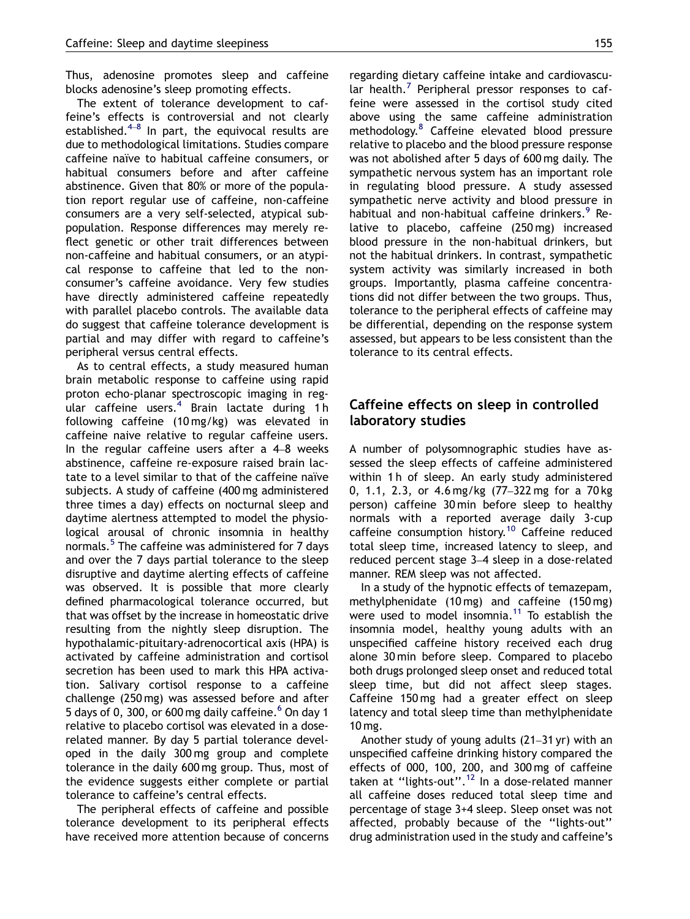Thus, adenosine promotes sleep and caffeine blocks adenosine's sleep promoting effects.

The extent of tolerance development to caffeine's effects is controversial and not clearly established. $4-8$  $4-8$  In part, the equivocal results are due to methodological limitations. Studies compare caffeine naïve to habitual caffeine consumers, or habitual consumers before and after caffeine abstinence. Given that 80% or more of the population report regular use of caffeine, non-caffeine consumers are a very self-selected, atypical subpopulation. Response differences may merely reflect genetic or other trait differences between non-caffeine and habitual consumers, or an atypical response to caffeine that led to the nonconsumer's caffeine avoidance. Very few studies have directly administered caffeine repeatedly with parallel placebo controls. The available data do suggest that caffeine tolerance development is partial and may differ with regard to caffeine's peripheral versus central effects.

As to central effects, a study measured human brain metabolic response to caffeine using rapid proton echo-planar spectroscopic imaging in reg-ular caffeine users.<sup>[4](#page-8-0)</sup> Brain lactate during 1h following caffeine (10 mg/kg) was elevated in caffeine naive relative to regular caffeine users. In the regular caffeine users after a 4–8 weeks abstinence, caffeine re-exposure raised brain lactate to a level similar to that of the caffeine naïve subjects. A study of caffeine (400 mg administered three times a day) effects on nocturnal sleep and daytime alertness attempted to model the physiological arousal of chronic insomnia in healthy normals.<sup>[5](#page-8-0)</sup> The caffeine was administered for 7 days and over the 7 days partial tolerance to the sleep disruptive and daytime alerting effects of caffeine was observed. It is possible that more clearly defined pharmacological tolerance occurred, but that was offset by the increase in homeostatic drive resulting from the nightly sleep disruption. The hypothalamic-pituitary-adrenocortical axis (HPA) is activated by caffeine administration and cortisol secretion has been used to mark this HPA activation. Salivary cortisol response to a caffeine challenge (250 mg) was assessed before and after 5 days of 0, 300, or [6](#page-8-0)00 mg daily caffeine. $6$  On day 1 relative to placebo cortisol was elevated in a doserelated manner. By day 5 partial tolerance developed in the daily 300 mg group and complete tolerance in the daily 600 mg group. Thus, most of the evidence suggests either complete or partial tolerance to caffeine's central effects.

The peripheral effects of caffeine and possible tolerance development to its peripheral effects have received more attention because of concerns regarding dietary caffeine intake and cardiovascu-lar health.<sup>[7](#page-8-0)</sup> Peripheral pressor responses to caffeine were assessed in the cortisol study cited above using the same caffeine administration methodology.[8](#page-8-0) Caffeine elevated blood pressure relative to placebo and the blood pressure response was not abolished after 5 days of 600 mg daily. The sympathetic nervous system has an important role in regulating blood pressure. A study assessed sympathetic nerve activity and blood pressure in habitual and non-habitual caffeine drinkers.<sup>[9](#page-8-0)</sup> Relative to placebo, caffeine (250 mg) increased blood pressure in the non-habitual drinkers, but not the habitual drinkers. In contrast, sympathetic system activity was similarly increased in both groups. Importantly, plasma caffeine concentrations did not differ between the two groups. Thus, tolerance to the peripheral effects of caffeine may be differential, depending on the response system assessed, but appears to be less consistent than the tolerance to its central effects.

#### Caffeine effects on sleep in controlled laboratory studies

A number of polysomnographic studies have assessed the sleep effects of caffeine administered within 1h of sleep. An early study administered 0, 1.1, 2.3, or 4.6 mg/kg (77–322 mg for a 70 kg person) caffeine 30 min before sleep to healthy normals with a reported average daily 3-cup caffeine consumption history.[10](#page-8-0) Caffeine reduced total sleep time, increased latency to sleep, and reduced percent stage 3–4 sleep in a dose-related manner. REM sleep was not affected.

In a study of the hypnotic effects of temazepam, methylphenidate (10 mg) and caffeine (150 mg) were used to model insomnia.<sup>[11](#page-8-0)</sup> To establish the insomnia model, healthy young adults with an unspecified caffeine history received each drug alone 30 min before sleep. Compared to placebo both drugs prolonged sleep onset and reduced total sleep time, but did not affect sleep stages. Caffeine 150 mg had a greater effect on sleep latency and total sleep time than methylphenidate 10 mg.

Another study of young adults (21–31 yr) with an unspecified caffeine drinking history compared the effects of 000, 100, 200, and 300 mg of caffeine taken at "lights-out".<sup>[12](#page-8-0)</sup> In a dose-related manner all caffeine doses reduced total sleep time and percentage of stage 3+4 sleep. Sleep onset was not affected, probably because of the ''lights-out'' drug administration used in the study and caffeine's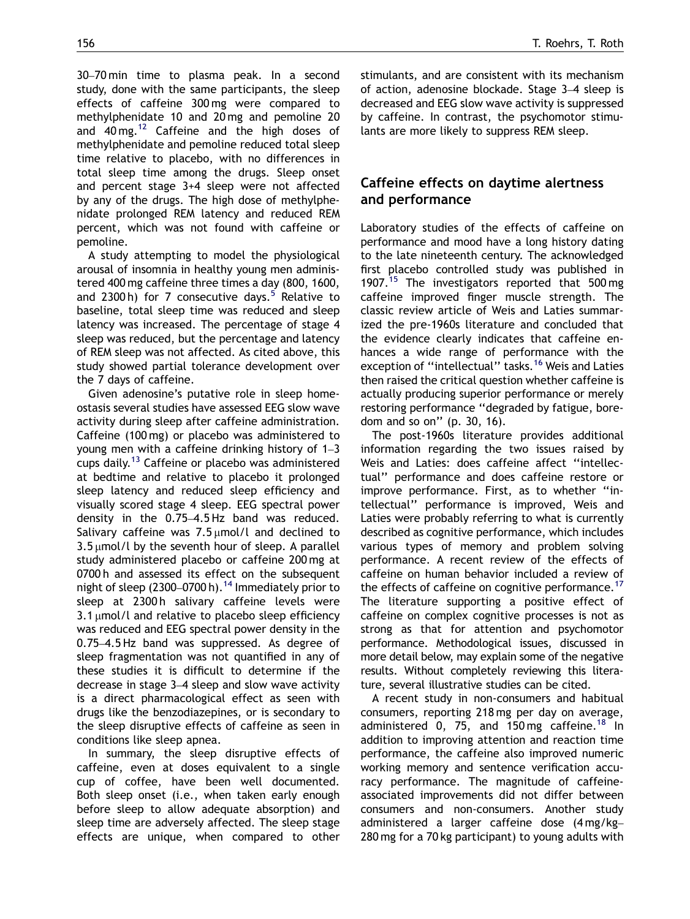30–70 min time to plasma peak. In a second study, done with the same participants, the sleep effects of caffeine 300 mg were compared to methylphenidate 10 and 20 mg and pemoline 20 and  $40 \text{ mg.}^{12}$  $40 \text{ mg.}^{12}$  $40 \text{ mg.}^{12}$  Caffeine and the high doses of methylphenidate and pemoline reduced total sleep time relative to placebo, with no differences in total sleep time among the drugs. Sleep onset and percent stage 3+4 sleep were not affected by any of the drugs. The high dose of methylphenidate prolonged REM latency and reduced REM percent, which was not found with caffeine or pemoline.

A study attempting to model the physiological arousal of insomnia in healthy young men administered 400 mg caffeine three times a day (800, 1600, and 2300 h) for 7 consecutive days.<sup>[5](#page-8-0)</sup> Relative to baseline, total sleep time was reduced and sleep latency was increased. The percentage of stage 4 sleep was reduced, but the percentage and latency of REM sleep was not affected. As cited above, this study showed partial tolerance development over the 7 days of caffeine.

Given adenosine's putative role in sleep homeostasis several studies have assessed EEG slow wave activity during sleep after caffeine administration. Caffeine (100 mg) or placebo was administered to young men with a caffeine drinking history of 1–3 cups daily.<sup>[13](#page-8-0)</sup> Caffeine or placebo was administered at bedtime and relative to placebo it prolonged sleep latency and reduced sleep efficiency and visually scored stage 4 sleep. EEG spectral power density in the 0.75–4.5 Hz band was reduced. Salivary caffeine was  $7.5 \mu$ mol/l and declined to  $3.5 \mu$ mol/l by the seventh hour of sleep. A parallel study administered placebo or caffeine 200 mg at 0700h and assessed its effect on the subsequent night of sleep (2300–0700 h).<sup>[14](#page-8-0)</sup> Immediately prior to sleep at 2300h salivary caffeine levels were  $3.1 \mu$ mol/l and relative to placebo sleep efficiency was reduced and EEG spectral power density in the 0.75–4.5 Hz band was suppressed. As degree of sleep fragmentation was not quantified in any of these studies it is difficult to determine if the decrease in stage 3–4 sleep and slow wave activity is a direct pharmacological effect as seen with drugs like the benzodiazepines, or is secondary to the sleep disruptive effects of caffeine as seen in conditions like sleep apnea.

In summary, the sleep disruptive effects of caffeine, even at doses equivalent to a single cup of coffee, have been well documented. Both sleep onset (i.e., when taken early enough before sleep to allow adequate absorption) and sleep time are adversely affected. The sleep stage effects are unique, when compared to other stimulants, and are consistent with its mechanism of action, adenosine blockade. Stage 3–4 sleep is decreased and EEG slow wave activity is suppressed by caffeine. In contrast, the psychomotor stimulants are more likely to suppress REM sleep.

### Caffeine effects on daytime alertness and performance

Laboratory studies of the effects of caffeine on performance and mood have a long history dating to the late nineteenth century. The acknowledged first placebo controlled study was published in 1907.<sup>[15](#page-8-0)</sup> The investigators reported that 500 mg caffeine improved finger muscle strength. The classic review article of Weis and Laties summarized the pre-1960s literature and concluded that the evidence clearly indicates that caffeine enhances a wide range of performance with the exception of "intellectual" tasks.<sup>[16](#page-8-0)</sup> Weis and Laties then raised the critical question whether caffeine is actually producing superior performance or merely restoring performance ''degraded by fatigue, boredom and so on'' (p. 30, 16).

The post-1960s literature provides additional information regarding the two issues raised by Weis and Laties: does caffeine affect ''intellectual'' performance and does caffeine restore or improve performance. First, as to whether "intellectual'' performance is improved, Weis and Laties were probably referring to what is currently described as cognitive performance, which includes various types of memory and problem solving performance. A recent review of the effects of caffeine on human behavior included a review of the effects of caffeine on cognitive performance.<sup>[17](#page-8-0)</sup> The literature supporting a positive effect of caffeine on complex cognitive processes is not as strong as that for attention and psychomotor performance. Methodological issues, discussed in more detail below, may explain some of the negative results. Without completely reviewing this literature, several illustrative studies can be cited.

A recent study in non-consumers and habitual consumers, reporting 218 mg per day on average, administered 0, 75, and 150 mg caffeine.<sup>[18](#page-8-0)</sup> In addition to improving attention and reaction time performance, the caffeine also improved numeric working memory and sentence verification accuracy performance. The magnitude of caffeineassociated improvements did not differ between consumers and non-consumers. Another study administered a larger caffeine dose (4 mg/kg– 280 mg for a 70 kg participant) to young adults with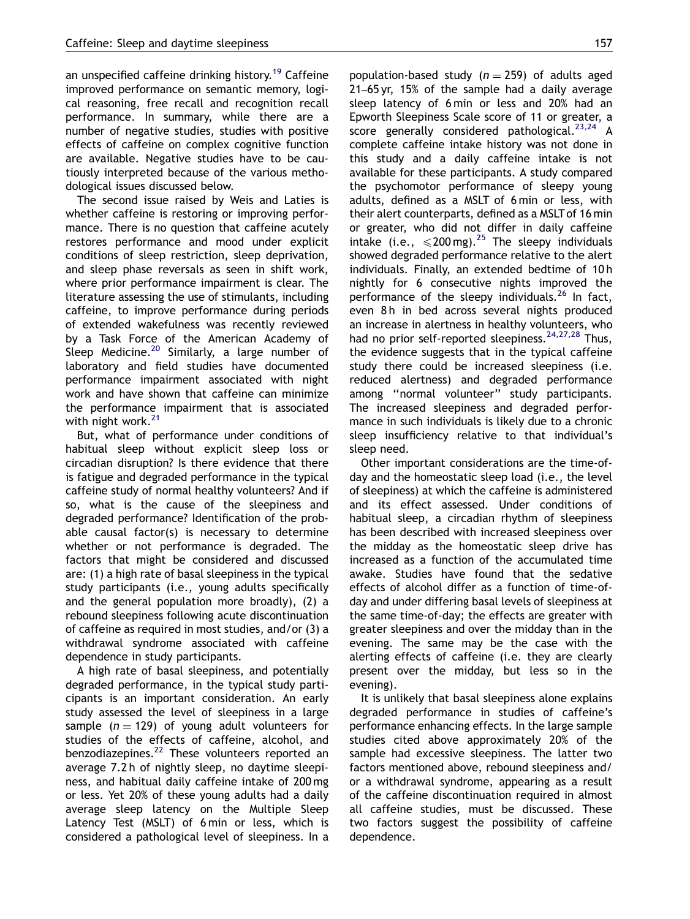an unspecified caffeine drinking history.<sup>[19](#page-8-0)</sup> Caffeine improved performance on semantic memory, logical reasoning, free recall and recognition recall performance. In summary, while there are a number of negative studies, studies with positive effects of caffeine on complex cognitive function are available. Negative studies have to be cautiously interpreted because of the various methodological issues discussed below.

The second issue raised by Weis and Laties is whether caffeine is restoring or improving performance. There is no question that caffeine acutely restores performance and mood under explicit conditions of sleep restriction, sleep deprivation, and sleep phase reversals as seen in shift work, where prior performance impairment is clear. The literature assessing the use of stimulants, including caffeine, to improve performance during periods of extended wakefulness was recently reviewed by a Task Force of the American Academy of Sleep Medicine.<sup>[20](#page-8-0)</sup> Similarly, a large number of laboratory and field studies have documented performance impairment associated with night work and have shown that caffeine can minimize the performance impairment that is associated with night work.<sup>[21](#page-8-0)</sup>

But, what of performance under conditions of habitual sleep without explicit sleep loss or circadian disruption? Is there evidence that there is fatigue and degraded performance in the typical caffeine study of normal healthy volunteers? And if so, what is the cause of the sleepiness and degraded performance? Identification of the probable causal factor(s) is necessary to determine whether or not performance is degraded. The factors that might be considered and discussed are: (1) a high rate of basal sleepiness in the typical study participants (i.e., young adults specifically and the general population more broadly), (2) a rebound sleepiness following acute discontinuation of caffeine as required in most studies, and/or (3) a withdrawal syndrome associated with caffeine dependence in study participants.

A high rate of basal sleepiness, and potentially degraded performance, in the typical study participants is an important consideration. An early study assessed the level of sleepiness in a large sample ( $n = 129$ ) of young adult volunteers for studies of the effects of caffeine, alcohol, and benzodiazepines.<sup>[22](#page-8-0)</sup> These volunteers reported an average 7.2 h of nightly sleep, no daytime sleepiness, and habitual daily caffeine intake of 200 mg or less. Yet 20% of these young adults had a daily average sleep latency on the Multiple Sleep Latency Test (MSLT) of 6 min or less, which is considered a pathological level of sleepiness. In a population-based study ( $n = 259$ ) of adults aged 21–65 yr, 15% of the sample had a daily average sleep latency of 6 min or less and 20% had an Epworth Sleepiness Scale score of 11 or greater, a score generally considered pathological. $^{23,24}$  $^{23,24}$  $^{23,24}$  A complete caffeine intake history was not done in this study and a daily caffeine intake is not available for these participants. A study compared the psychomotor performance of sleepy young adults, defined as a MSLT of 6 min or less, with their alert counterparts, defined as a MSLT of 16 min or greater, who did not differ in daily caffeine intake (i.e.,  $\leq 200$  mg).<sup>[25](#page-8-0)</sup> The sleepy individuals showed degraded performance relative to the alert individuals. Finally, an extended bedtime of 10 h nightly for 6 consecutive nights improved the performance of the sleepy individuals.<sup>[26](#page-8-0)</sup> In fact. even 8h in bed across several nights produced an increase in alertness in healthy volunteers, who had no prior self-reported sleepiness.  $24,27,28$  Thus, the evidence suggests that in the typical caffeine study there could be increased sleepiness (i.e. reduced alertness) and degraded performance among ''normal volunteer'' study participants. The increased sleepiness and degraded performance in such individuals is likely due to a chronic sleep insufficiency relative to that individual's sleep need.

Other important considerations are the time-ofday and the homeostatic sleep load (i.e., the level of sleepiness) at which the caffeine is administered and its effect assessed. Under conditions of habitual sleep, a circadian rhythm of sleepiness has been described with increased sleepiness over the midday as the homeostatic sleep drive has increased as a function of the accumulated time awake. Studies have found that the sedative effects of alcohol differ as a function of time-ofday and under differing basal levels of sleepiness at the same time-of-day; the effects are greater with greater sleepiness and over the midday than in the evening. The same may be the case with the alerting effects of caffeine (i.e. they are clearly present over the midday, but less so in the evening).

It is unlikely that basal sleepiness alone explains degraded performance in studies of caffeine's performance enhancing effects. In the large sample studies cited above approximately 20% of the sample had excessive sleepiness. The latter two factors mentioned above, rebound sleepiness and/ or a withdrawal syndrome, appearing as a result of the caffeine discontinuation required in almost all caffeine studies, must be discussed. These two factors suggest the possibility of caffeine dependence.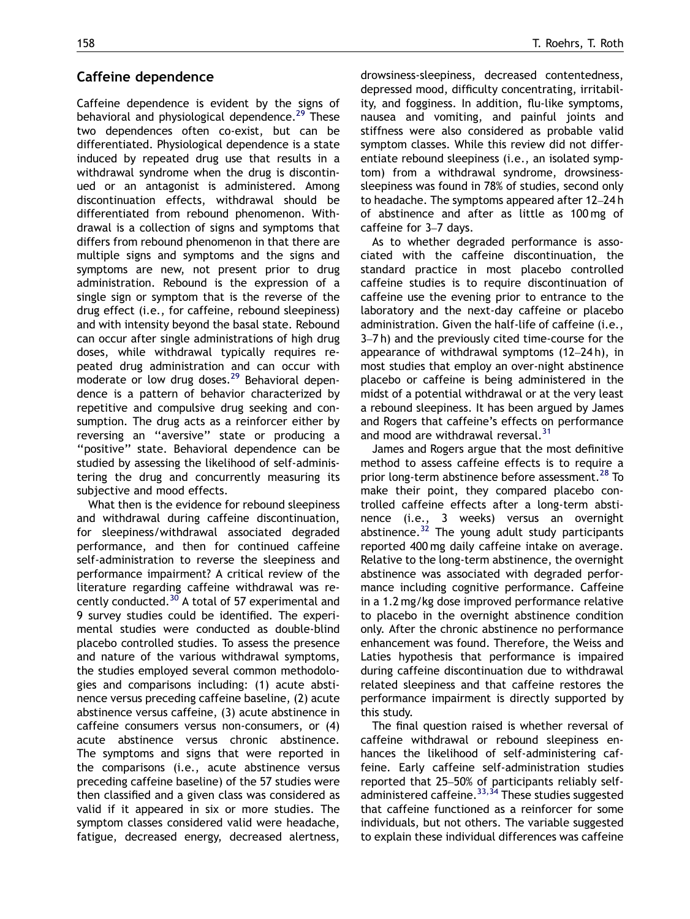#### Caffeine dependence

Caffeine dependence is evident by the signs of behavioral and physiological dependence.<sup>[29](#page-8-0)</sup> These two dependences often co-exist, but can be differentiated. Physiological dependence is a state induced by repeated drug use that results in a withdrawal syndrome when the drug is discontinued or an antagonist is administered. Among discontinuation effects, withdrawal should be differentiated from rebound phenomenon. Withdrawal is a collection of signs and symptoms that differs from rebound phenomenon in that there are multiple signs and symptoms and the signs and symptoms are new, not present prior to drug administration. Rebound is the expression of a single sign or symptom that is the reverse of the drug effect (i.e., for caffeine, rebound sleepiness) and with intensity beyond the basal state. Rebound can occur after single administrations of high drug doses, while withdrawal typically requires repeated drug administration and can occur with moderate or low drug doses.<sup>[29](#page-8-0)</sup> Behavioral dependence is a pattern of behavior characterized by repetitive and compulsive drug seeking and consumption. The drug acts as a reinforcer either by reversing an ''aversive'' state or producing a ''positive'' state. Behavioral dependence can be studied by assessing the likelihood of self-administering the drug and concurrently measuring its subjective and mood effects.

What then is the evidence for rebound sleepiness and withdrawal during caffeine discontinuation, for sleepiness/withdrawal associated degraded performance, and then for continued caffeine self-administration to reverse the sleepiness and performance impairment? A critical review of the literature regarding caffeine withdrawal was re-cently conducted.<sup>[30](#page-8-0)</sup> A total of 57 experimental and 9 survey studies could be identified. The experimental studies were conducted as double-blind placebo controlled studies. To assess the presence and nature of the various withdrawal symptoms, the studies employed several common methodologies and comparisons including: (1) acute abstinence versus preceding caffeine baseline, (2) acute abstinence versus caffeine, (3) acute abstinence in caffeine consumers versus non-consumers, or (4) acute abstinence versus chronic abstinence. The symptoms and signs that were reported in the comparisons (i.e., acute abstinence versus preceding caffeine baseline) of the 57 studies were then classified and a given class was considered as valid if it appeared in six or more studies. The symptom classes considered valid were headache, fatigue, decreased energy, decreased alertness, drowsiness-sleepiness, decreased contentedness, depressed mood, difficulty concentrating, irritability, and fogginess. In addition, flu-like symptoms, nausea and vomiting, and painful joints and stiffness were also considered as probable valid symptom classes. While this review did not differentiate rebound sleepiness (i.e., an isolated symptom) from a withdrawal syndrome, drowsinesssleepiness was found in 78% of studies, second only to headache. The symptoms appeared after 12–24 h of abstinence and after as little as 100 mg of caffeine for 3–7 days.

As to whether degraded performance is associated with the caffeine discontinuation, the standard practice in most placebo controlled caffeine studies is to require discontinuation of caffeine use the evening prior to entrance to the laboratory and the next-day caffeine or placebo administration. Given the half-life of caffeine (i.e., 3–7 h) and the previously cited time-course for the appearance of withdrawal symptoms (12–24 h), in most studies that employ an over-night abstinence placebo or caffeine is being administered in the midst of a potential withdrawal or at the very least a rebound sleepiness. It has been argued by James and Rogers that caffeine's effects on performance and mood are withdrawal reversal.<sup>[31](#page-8-0)</sup>

James and Rogers argue that the most definitive method to assess caffeine effects is to require a prior long-term abstinence before assessment.<sup>[28](#page-8-0)</sup> To make their point, they compared placebo controlled caffeine effects after a long-term abstinence (i.e., 3 weeks) versus an overnight abstinence.<sup>[32](#page-8-0)</sup> The young adult study participants reported 400 mg daily caffeine intake on average. Relative to the long-term abstinence, the overnight abstinence was associated with degraded performance including cognitive performance. Caffeine in a 1.2 mg/kg dose improved performance relative to placebo in the overnight abstinence condition only. After the chronic abstinence no performance enhancement was found. Therefore, the Weiss and Laties hypothesis that performance is impaired during caffeine discontinuation due to withdrawal related sleepiness and that caffeine restores the performance impairment is directly supported by this study.

The final question raised is whether reversal of caffeine withdrawal or rebound sleepiness enhances the likelihood of self-administering caffeine. Early caffeine self-administration studies reported that 25–50% of participants reliably selfadministered caffeine.  $33,34$  These studies suggested that caffeine functioned as a reinforcer for some individuals, but not others. The variable suggested to explain these individual differences was caffeine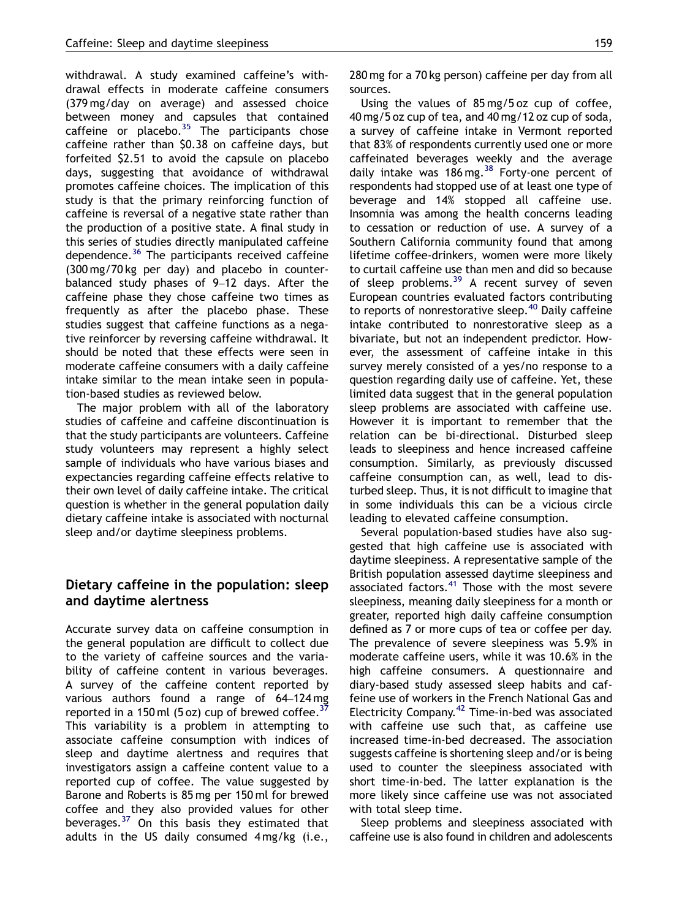withdrawal. A study examined caffeine's withdrawal effects in moderate caffeine consumers (379 mg/day on average) and assessed choice between money and capsules that contained caffeine or placebo. $35$  The participants chose caffeine rather than \$0.38 on caffeine days, but forfeited \$2.51 to avoid the capsule on placebo days, suggesting that avoidance of withdrawal promotes caffeine choices. The implication of this study is that the primary reinforcing function of caffeine is reversal of a negative state rather than the production of a positive state. A final study in this series of studies directly manipulated caffeine dependence.<sup>[36](#page-8-0)</sup> The participants received caffeine (300 mg/70 kg per day) and placebo in counterbalanced study phases of 9–12 days. After the caffeine phase they chose caffeine two times as frequently as after the placebo phase. These studies suggest that caffeine functions as a negative reinforcer by reversing caffeine withdrawal. It should be noted that these effects were seen in moderate caffeine consumers with a daily caffeine intake similar to the mean intake seen in population-based studies as reviewed below.

The major problem with all of the laboratory studies of caffeine and caffeine discontinuation is that the study participants are volunteers. Caffeine study volunteers may represent a highly select sample of individuals who have various biases and expectancies regarding caffeine effects relative to their own level of daily caffeine intake. The critical question is whether in the general population daily dietary caffeine intake is associated with nocturnal sleep and/or daytime sleepiness problems.

#### Dietary caffeine in the population: sleep and daytime alertness

Accurate survey data on caffeine consumption in the general population are difficult to collect due to the variety of caffeine sources and the variability of caffeine content in various beverages. A survey of the caffeine content reported by various authors found a range of 64–124 mg reported in a 150 ml  $(5 \text{ oz})$  cup of brewed coffee.<sup>[37](#page-8-0)</sup> This variability is a problem in attempting to associate caffeine consumption with indices of sleep and daytime alertness and requires that investigators assign a caffeine content value to a reported cup of coffee. The value suggested by Barone and Roberts is 85 mg per 150 ml for brewed coffee and they also provided values for other beverages.[37](#page-8-0) On this basis they estimated that adults in the US daily consumed 4 mg/kg (i.e., 280 mg for a 70 kg person) caffeine per day from all sources.

Using the values of 85 mg/5 oz cup of coffee, 40 mg/5 oz cup of tea, and 40 mg/12 oz cup of soda, a survey of caffeine intake in Vermont reported that 83% of respondents currently used one or more caffeinated beverages weekly and the average daily intake was 186 mg.  $38$  Forty-one percent of respondents had stopped use of at least one type of beverage and 14% stopped all caffeine use. Insomnia was among the health concerns leading to cessation or reduction of use. A survey of a Southern California community found that among lifetime coffee-drinkers, women were more likely to curtail caffeine use than men and did so because of sleep problems. $39$  A recent survey of seven European countries evaluated factors contributing to reports of nonrestorative sleep.<sup>[40](#page-8-0)</sup> Daily caffeine intake contributed to nonrestorative sleep as a bivariate, but not an independent predictor. However, the assessment of caffeine intake in this survey merely consisted of a yes/no response to a question regarding daily use of caffeine. Yet, these limited data suggest that in the general population sleep problems are associated with caffeine use. However it is important to remember that the relation can be bi-directional. Disturbed sleep leads to sleepiness and hence increased caffeine consumption. Similarly, as previously discussed caffeine consumption can, as well, lead to disturbed sleep. Thus, it is not difficult to imagine that in some individuals this can be a vicious circle leading to elevated caffeine consumption.

Several population-based studies have also suggested that high caffeine use is associated with daytime sleepiness. A representative sample of the British population assessed daytime sleepiness and associated factors.<sup>[41](#page-9-0)</sup> Those with the most severe sleepiness, meaning daily sleepiness for a month or greater, reported high daily caffeine consumption defined as 7 or more cups of tea or coffee per day. The prevalence of severe sleepiness was 5.9% in moderate caffeine users, while it was 10.6% in the high caffeine consumers. A questionnaire and diary-based study assessed sleep habits and caffeine use of workers in the French National Gas and Electricity Company. $42$  Time-in-bed was associated with caffeine use such that, as caffeine use increased time-in-bed decreased. The association suggests caffeine is shortening sleep and/or is being used to counter the sleepiness associated with short time-in-bed. The latter explanation is the more likely since caffeine use was not associated with total sleep time.

Sleep problems and sleepiness associated with caffeine use is also found in children and adolescents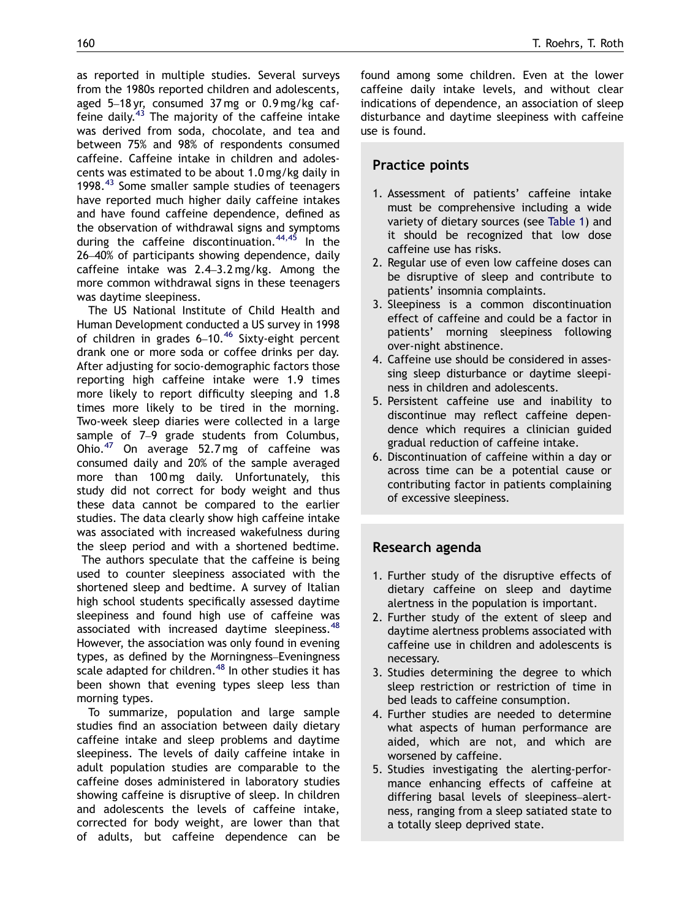as reported in multiple studies. Several surveys from the 1980s reported children and adolescents, aged 5–18 yr, consumed 37 mg or 0.9 mg/kg caffeine daily. $43$  The majority of the caffeine intake was derived from soda, chocolate, and tea and between 75% and 98% of respondents consumed caffeine. Caffeine intake in children and adolescents was estimated to be about 1.0 mg/kg daily in 1998.<sup>[43](#page-9-0)</sup> Some smaller sample studies of teenagers have reported much higher daily caffeine intakes and have found caffeine dependence, defined as the observation of withdrawal signs and symptoms during the caffeine discontinuation.  $44,45$  In the 26–40% of participants showing dependence, daily caffeine intake was 2.4–3.2 mg/kg. Among the more common withdrawal signs in these teenagers was daytime sleepiness.

The US National Institute of Child Health and Human Development conducted a US survey in 1998 of children in grades  $6-10.^{46}$  $6-10.^{46}$  $6-10.^{46}$  Sixty-eight percent drank one or more soda or coffee drinks per day. After adjusting for socio-demographic factors those reporting high caffeine intake were 1.9 times more likely to report difficulty sleeping and 1.8 times more likely to be tired in the morning. Two-week sleep diaries were collected in a large sample of 7–9 grade students from Columbus, Ohio.[47](#page-9-0) On average 52.7 mg of caffeine was consumed daily and 20% of the sample averaged more than 100 mg daily. Unfortunately, this study did not correct for body weight and thus these data cannot be compared to the earlier studies. The data clearly show high caffeine intake was associated with increased wakefulness during the sleep period and with a shortened bedtime.

The authors speculate that the caffeine is being used to counter sleepiness associated with the shortened sleep and bedtime. A survey of Italian high school students specifically assessed daytime sleepiness and found high use of caffeine was associated with increased daytime sleepiness.<sup>[48](#page-9-0)</sup> However, the association was only found in evening types, as defined by the Morningness–Eveningness scale adapted for children.<sup>[48](#page-9-0)</sup> In other studies it has been shown that evening types sleep less than morning types.

To summarize, population and large sample studies find an association between daily dietary caffeine intake and sleep problems and daytime sleepiness. The levels of daily caffeine intake in adult population studies are comparable to the caffeine doses administered in laboratory studies showing caffeine is disruptive of sleep. In children and adolescents the levels of caffeine intake, corrected for body weight, are lower than that of adults, but caffeine dependence can be found among some children. Even at the lower caffeine daily intake levels, and without clear indications of dependence, an association of sleep disturbance and daytime sleepiness with caffeine use is found.

## Practice points

- 1. Assessment of patients' caffeine intake must be comprehensive including a wide variety of dietary sources (see [Table 1](#page-1-0)) and it should be recognized that low dose caffeine use has risks.
- 2. Regular use of even low caffeine doses can be disruptive of sleep and contribute to patients' insomnia complaints.
- 3. Sleepiness is a common discontinuation effect of caffeine and could be a factor in patients' morning sleepiness following over-night abstinence.
- 4. Caffeine use should be considered in assessing sleep disturbance or daytime sleepiness in children and adolescents.
- 5. Persistent caffeine use and inability to discontinue may reflect caffeine dependence which requires a clinician guided gradual reduction of caffeine intake.
- 6. Discontinuation of caffeine within a day or across time can be a potential cause or contributing factor in patients complaining of excessive sleepiness.

## Research agenda

- 1. Further study of the disruptive effects of dietary caffeine on sleep and daytime alertness in the population is important.
- 2. Further study of the extent of sleep and daytime alertness problems associated with caffeine use in children and adolescents is necessary.
- 3. Studies determining the degree to which sleep restriction or restriction of time in bed leads to caffeine consumption.
- 4. Further studies are needed to determine what aspects of human performance are aided, which are not, and which are worsened by caffeine.
- 5. Studies investigating the alerting-performance enhancing effects of caffeine at differing basal levels of sleepiness–alertness, ranging from a sleep satiated state to a totally sleep deprived state.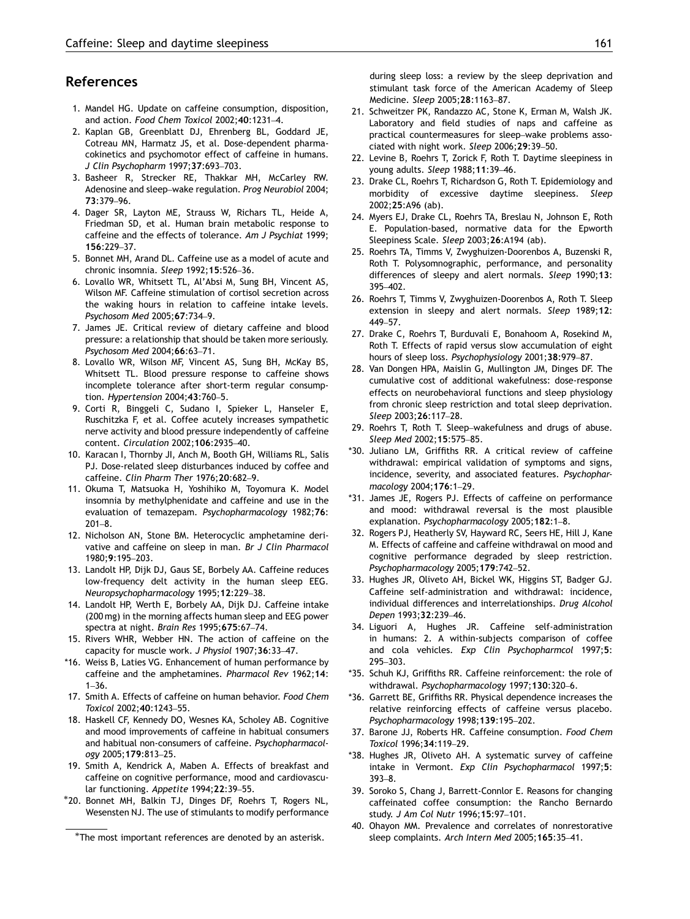#### <span id="page-8-0"></span>References

- 1. Mandel HG. Update on caffeine consumption, disposition, and action. Food Chem Toxicol 2002;40:1231–4.
- 2. Kaplan GB, Greenblatt DJ, Ehrenberg BL, Goddard JE, Cotreau MN, Harmatz JS, et al. Dose-dependent pharmacokinetics and psychomotor effect of caffeine in humans. J Clin Psychopharm 1997;37:693–703.
- 3. Basheer R, Strecker RE, Thakkar MH, McCarley RW. Adenosine and sleep–wake regulation. Prog Neurobiol 2004; 73:379–96.
- 4. Dager SR, Layton ME, Strauss W, Richars TL, Heide A, Friedman SD, et al. Human brain metabolic response to caffeine and the effects of tolerance. Am J Psychiat 1999; 156:229–37.
- 5. Bonnet MH, Arand DL. Caffeine use as a model of acute and chronic insomnia. Sleep 1992;15:526–36.
- 6. Lovallo WR, Whitsett TL, Al'Absi M, Sung BH, Vincent AS, Wilson MF. Caffeine stimulation of cortisol secretion across the waking hours in relation to caffeine intake levels. Psychosom Med 2005;67:734–9.
- 7. James JE. Critical review of dietary caffeine and blood pressure: a relationship that should be taken more seriously. Psychosom Med 2004;66:63–71.
- 8. Lovallo WR, Wilson MF, Vincent AS, Sung BH, McKay BS, Whitsett TL. Blood pressure response to caffeine shows incomplete tolerance after short-term regular consumption. Hypertension 2004;43:760–5.
- 9. Corti R, Binggeli C, Sudano I, Spieker L, Hanseler E, Ruschitzka F, et al. Coffee acutely increases sympathetic nerve activity and blood pressure independently of caffeine content. Circulation 2002;106:2935–40.
- 10. Karacan I, Thornby JI, Anch M, Booth GH, Williams RL, Salis PJ. Dose-related sleep disturbances induced by coffee and caffeine. Clin Pharm Ther 1976;20:682–9.
- 11. Okuma T, Matsuoka H, Yoshihiko M, Toyomura K. Model insomnia by methylphenidate and caffeine and use in the evaluation of temazepam. Psychopharmacology 1982;76: 201–8.
- 12. Nicholson AN, Stone BM. Heterocyclic amphetamine derivative and caffeine on sleep in man. Br J Clin Pharmacol 1980;9:195–203.
- 13. Landolt HP, Dijk DJ, Gaus SE, Borbely AA. Caffeine reduces low-frequency delt activity in the human sleep EEG. Neuropsychopharmacology 1995;12:229–38.
- 14. Landolt HP, Werth E, Borbely AA, Dijk DJ. Caffeine intake (200 mg) in the morning affects human sleep and EEG power spectra at night. Brain Res 1995;675:67–74.
- 15. Rivers WHR, Webber HN. The action of caffeine on the capacity for muscle work. J Physiol 1907;36:33–47.
- \*16. Weiss B, Laties VG. Enhancement of human performance by caffeine and the amphetamines. Pharmacol Rev 1962;14: 1–36.
- 17. Smith A. Effects of caffeine on human behavior. Food Chem Toxicol 2002;40:1243–55.
- 18. Haskell CF, Kennedy DO, Wesnes KA, Scholey AB. Cognitive and mood improvements of caffeine in habitual consumers and habitual non-consumers of caffeine. Psychopharmacology 2005;179:813–25.
- 19. Smith A, Kendrick A, Maben A. Effects of breakfast and caffeine on cognitive performance, mood and cardiovascular functioning. Appetite 1994;22:39-55.
- 20. Bonnet MH, Balkin TJ, Dinges DF, Roehrs T, Rogers NL, Wesensten NJ. The use of stimulants to modify performance

during sleep loss: a review by the sleep deprivation and stimulant task force of the American Academy of Sleep Medicine. Sleep 2005;28:1163–87.

- 21. Schweitzer PK, Randazzo AC, Stone K, Erman M, Walsh JK. Laboratory and field studies of naps and caffeine as practical countermeasures for sleep–wake problems associated with night work. Sleep 2006;29:39–50.
- 22. Levine B, Roehrs T, Zorick F, Roth T. Daytime sleepiness in young adults. Sleep 1988;11:39–46.
- 23. Drake CL, Roehrs T, Richardson G, Roth T. Epidemiology and morbidity of excessive daytime sleepiness. Sleep 2002;25:A96 (ab).
- 24. Myers EJ, Drake CL, Roehrs TA, Breslau N, Johnson E, Roth E. Population-based, normative data for the Epworth Sleepiness Scale. Sleep 2003;26:A194 (ab).
- 25. Roehrs TA, Timms V, Zwyghuizen-Doorenbos A, Buzenski R, Roth T. Polysomnographic, performance, and personality differences of sleepy and alert normals. Sleep 1990;13: 395–402.
- 26. Roehrs T, Timms V, Zwyghuizen-Doorenbos A, Roth T. Sleep extension in sleepy and alert normals. Sleep 1989;12: 449–57.
- 27. Drake C, Roehrs T, Burduvali E, Bonahoom A, Rosekind M, Roth T. Effects of rapid versus slow accumulation of eight hours of sleep loss. Psychophysiology 2001;38:979–87.
- 28. Van Dongen HPA, Maislin G, Mullington JM, Dinges DF. The cumulative cost of additional wakefulness: dose-response effects on neurobehavioral functions and sleep physiology from chronic sleep restriction and total sleep deprivation. Sleep 2003;26:117–28.
- 29. Roehrs T, Roth T. Sleep–wakefulness and drugs of abuse. Sleep Med 2002;15:575–85.
- \*30. Juliano LM, Griffiths RR. A critical review of caffeine withdrawal: empirical validation of symptoms and signs, incidence, severity, and associated features. Psychopharmacology 2004;176:1–29.
- \*31. James JE, Rogers PJ. Effects of caffeine on performance and mood: withdrawal reversal is the most plausible explanation. Psychopharmacology 2005;182:1–8.
- 32. Rogers PJ, Heatherly SV, Hayward RC, Seers HE, Hill J, Kane M. Effects of caffeine and caffeine withdrawal on mood and cognitive performance degraded by sleep restriction. Psychopharmacology 2005;179:742–52.
- 33. Hughes JR, Oliveto AH, Bickel WK, Higgins ST, Badger GJ. Caffeine self-administration and withdrawal: incidence, individual differences and interrelationships. Drug Alcohol Depen 1993;32:239–46.
- 34. Liguori A, Hughes JR. Caffeine self-administration in humans: 2. A within-subjects comparison of coffee and cola vehicles. Exp Clin Psychopharmcol 1997;5: 295–303.
- \*35. Schuh KJ, Griffiths RR. Caffeine reinforcement: the role of withdrawal. Psychopharmacology 1997;130:320–6.
- \*36. Garrett BE, Griffiths RR. Physical dependence increases the relative reinforcing effects of caffeine versus placebo. Psychopharmacology 1998;139:195–202.
- 37. Barone JJ, Roberts HR. Caffeine consumption. Food Chem Toxicol 1996;34:119–29.
- \*38. Hughes JR, Oliveto AH. A systematic survey of caffeine intake in Vermont. Exp Clin Psychopharmacol 1997;5: 393–8.
- 39. Soroko S, Chang J, Barrett-Connlor E. Reasons for changing caffeinated coffee consumption: the Rancho Bernardo study. J Am Col Nutr 1996;15:97–101.
- 40. Ohayon MM. Prevalence and correlates of nonrestorative sleep complaints. Arch Intern Med 2005;165:35–41.

<sup>-</sup>The most important references are denoted by an asterisk.